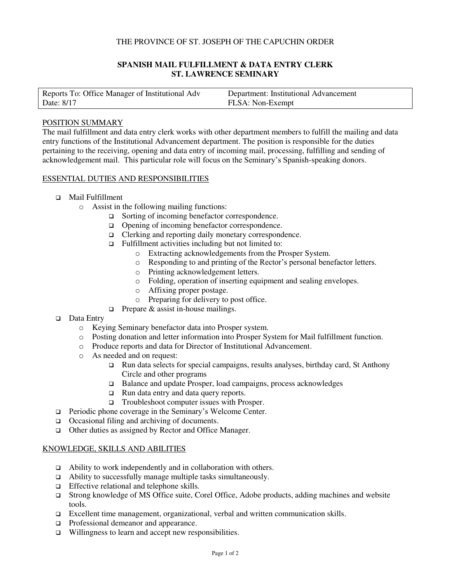### THE PROVINCE OF ST. JOSEPH OF THE CAPUCHIN ORDER

# **SPANISH MAIL FULFILLMENT & DATA ENTRY CLERK ST. LAWRENCE SEMINARY**

| Reports To: Office Manager of Institutional Adv | Department: Institutional Advancement |
|-------------------------------------------------|---------------------------------------|
| Date: 8/17                                      | FLSA: Non-Exempt                      |

#### POSITION SUMMARY

The mail fulfillment and data entry clerk works with other department members to fulfill the mailing and data entry functions of the Institutional Advancement department. The position is responsible for the duties pertaining to the receiving, opening and data entry of incoming mail, processing, fulfilling and sending of acknowledgement mail. This particular role will focus on the Seminary's Spanish-speaking donors.

#### ESSENTIAL DUTIES AND RESPONSIBILITIES

- Mail Fulfillment
	- o Assist in the following mailing functions:
		- □ Sorting of incoming benefactor correspondence.
		- □ Opening of incoming benefactor correspondence.
		- □ Clerking and reporting daily monetary correspondence.
		- $\Box$  Fulfillment activities including but not limited to:
			- o Extracting acknowledgements from the Prosper System.
			- o Responding to and printing of the Rector's personal benefactor letters.
			- o Printing acknowledgement letters.
			- o Folding, operation of inserting equipment and sealing envelopes.
			- o Affixing proper postage.
			- o Preparing for delivery to post office.
		- $\Box$  Prepare & assist in-house mailings.
- □ Data Entry
	- o Keying Seminary benefactor data into Prosper system.
	- o Posting donation and letter information into Prosper System for Mail fulfillment function.
	- o Produce reports and data for Director of Institutional Advancement.
	- o As needed and on request:
		- Run data selects for special campaigns, results analyses, birthday card, St Anthony Circle and other programs
		- □ Balance and update Prosper, load campaigns, process acknowledges
		- □ Run data entry and data query reports.
		- □ Troubleshoot computer issues with Prosper.
- Periodic phone coverage in the Seminary's Welcome Center.
- □ Occasional filing and archiving of documents.
- Other duties as assigned by Rector and Office Manager.

### KNOWLEDGE, SKILLS AND ABILITIES

- $\Box$  Ability to work independently and in collaboration with others.
- Ability to successfully manage multiple tasks simultaneously.
- $\Box$  Effective relational and telephone skills.
- Strong knowledge of MS Office suite, Corel Office, Adobe products, adding machines and website tools.
- Excellent time management, organizational, verbal and written communication skills.
- $\Box$  Professional demeanor and appearance.
- $\Box$  Willingness to learn and accept new responsibilities.